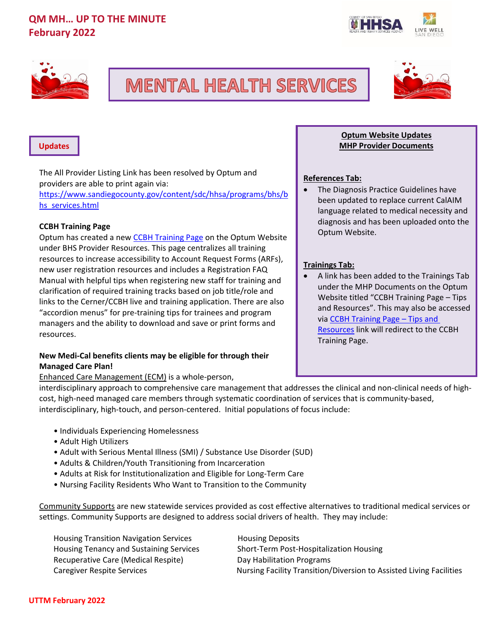



# **MENTAL HEALTH SERVICES**



### **Updates**

The All Provider Listing Link has been resolved by Optum and providers are able to print again via: [https://www.sandiegocounty.gov/content/sdc/hhsa/programs/bhs/b](https://www.sandiegocounty.gov/content/sdc/hhsa/programs/bhs/bhs_services.html) [hs\\_services.html](https://www.sandiegocounty.gov/content/sdc/hhsa/programs/bhs/bhs_services.html)

# **CCBH Training Page**

Optum has created a new **CCBH Training Page on the Optum Website** under BHS Provider Resources. This page centralizes all training resources to increase accessibility to Account Request Forms (ARFs), new user registration resources and includes a Registration FAQ Manual with helpful tips when registering new staff for training and clarification of required training tracks based on job title/role and links to the Cerner/CCBH live and training application. There are also "accordion menus" for pre-training tips for trainees and program managers and the ability to download and save or print forms and resources.

# **New Medi-Cal benefits clients may be eligible for through their Managed Care Plan!**

Enhanced Care Management (ECM) is a whole-person,

interdisciplinary approach to comprehensive care management that addresses the clinical and non-clinical needs of highcost, high-need managed care members through systematic coordination of services that is community-based, interdisciplinary, high-touch, and person-centered. Initial populations of focus include:

- Individuals Experiencing Homelessness
- Adult High Utilizers
- Adult with Serious Mental Illness (SMI) / Substance Use Disorder (SUD)
- Adults & Children/Youth Transitioning from Incarceration
- Adults at Risk for Institutionalization and Eligible for Long-Term Care
- Nursing Facility Residents Who Want to Transition to the Community

Community Supports are new statewide services provided as cost effective alternatives to traditional medical services or settings. Community Supports are designed to address social drivers of health. They may include:

| <b>Housing Transition Navigation Services</b>  | <b>Housing Deposits</b>                                             |
|------------------------------------------------|---------------------------------------------------------------------|
| <b>Housing Tenancy and Sustaining Services</b> | Short-Term Post-Hospitalization Housing                             |
| Recuperative Care (Medical Respite)            | Day Habilitation Programs                                           |
| Caregiver Respite Services                     | Nursing Facility Transition/Diversion to Assisted Living Facilities |

# **Optum Website Updates MHP Provider Documents**

# **References Tab:**

• The Diagnosis Practice Guidelines have been updated to replace current CalAIM language related to medical necessity and diagnosis and has been uploaded onto the Optum Website.

# **Trainings Tab:**

• A link has been added to the Trainings Tab under the MHP Documents on the Optum Website titled "CCBH Training Page – Tips and Resources". This may also be accessed via CCBH Training Page – Tips and Resources link will redirect to the CCBH Training Page.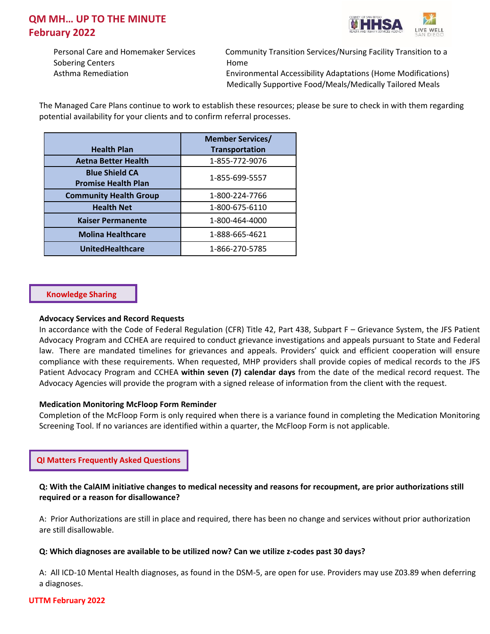

Sobering Centers **Home** 

Personal Care and Homemaker Services Community Transition Services/Nursing Facility Transition to a Asthma Remediation **Environmental Accessibility Adaptations (Home Modifications)** Medically Supportive Food/Meals/Medically Tailored Meals

The Managed Care Plans continue to work to establish these resources; please be sure to check in with them regarding potential availability for your clients and to confirm referral processes.

|                                                     | <b>Member Services/</b> |
|-----------------------------------------------------|-------------------------|
| <b>Health Plan</b>                                  | <b>Transportation</b>   |
| <b>Aetna Better Health</b>                          | 1-855-772-9076          |
| <b>Blue Shield CA</b><br><b>Promise Health Plan</b> | 1-855-699-5557          |
| <b>Community Health Group</b>                       | 1-800-224-7766          |
| <b>Health Net</b>                                   | 1-800-675-6110          |
| <b>Kaiser Permanente</b>                            | 1-800-464-4000          |
| <b>Molina Healthcare</b>                            | 1-888-665-4621          |
| <b>UnitedHealthcare</b>                             | 1-866-270-5785          |

# **Knowledge Sharing**

### **Advocacy Services and Record Requests**

In accordance with the Code of Federal Regulation (CFR) Title 42, Part 438, Subpart F – Grievance System, the JFS Patient Advocacy Program and CCHEA are required to conduct grievance investigations and appeals pursuant to State and Federal law. There are mandated timelines for grievances and appeals. Providers' quick and efficient cooperation will ensure compliance with these requirements. When requested, MHP providers shall provide copies of medical records to the JFS Patient Advocacy Program and CCHEA **within seven (7) calendar days** from the date of the medical record request. The Advocacy Agencies will provide the program with a signed release of information from the client with the request.

# **Medication Monitoring McFloop Form Reminder**

Completion of the McFloop Form is only required when there is a variance found in completing the Medication Monitoring Screening Tool. If no variances are identified within a quarter, the McFloop Form is not applicable.

**QI Matters Frequently Asked Questions**

# **Q: With the CalAIM initiative changes to medical necessity and reasons for recoupment, are prior authorizations still required or a reason for disallowance?**

A: Prior Authorizations are still in place and required, there has been no change and services without prior authorization are still disallowable.

# **Q: Which diagnoses are available to be utilized now? Can we utilize z-codes past 30 days?**

A: All ICD-10 Mental Health diagnoses, as found in the DSM-5, are open for use. Providers may use Z03.89 when deferring a diagnoses.

### **UTTM February 2022**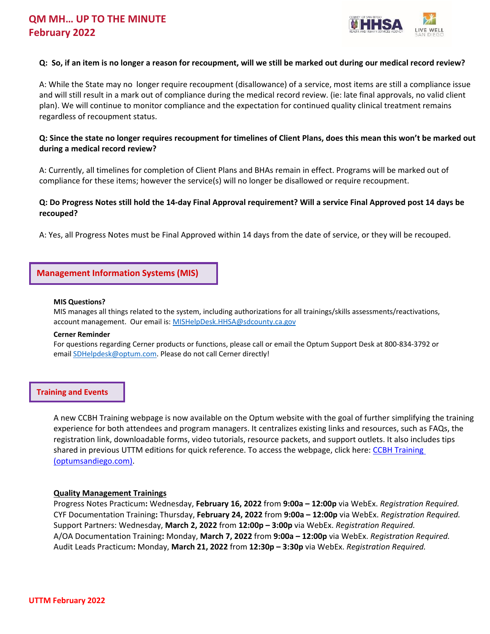

### **Q: So, if an item is no longer a reason for recoupment, will we still be marked out during our medical record review?**

A: While the State may no longer require recoupment (disallowance) of a service, most items are still a compliance issue and will still result in a mark out of compliance during the medical record review. (ie: late final approvals, no valid client plan). We will continue to monitor compliance and the expectation for continued quality clinical treatment remains regardless of recoupment status.

# **Q: Since the state no longer requires recoupment for timelines of Client Plans, does this mean this won't be marked out during a medical record review?**

A: Currently, all timelines for completion of Client Plans and BHAs remain in effect. Programs will be marked out of compliance for these items; however the service(s) will no longer be disallowed or require recoupment.

# **Q: Do Progress Notes still hold the 14-day Final Approval requirement? Will a service Final Approved post 14 days be recouped?**

A: Yes, all Progress Notes must be Final Approved within 14 days from the date of service, or they will be recouped.

# **Management Information Systems (MIS)**

#### **MIS Questions?**

MIS manages all things related to the system, including authorizations for all trainings/skills assessments/reactivations, account management. Our email is: [MISHelpDesk.HHSA@sdcounty.ca.gov](mailto:MISHelpDesk.HHSA@sdcounty.ca.gov)

#### **Cerner Reminder**

For questions regarding Cerner products or functions, please call or email the Optum Support Desk at 800-834-3792 or email [SDHelpdesk@optum.com.](mailto:SDHelpdesk@optum.com) Please do not call Cerner directly!

### **Training and Events**

A new CCBH Training webpage is now available on the Optum website with the goal of further simplifying the training experience for both attendees and program managers. It centralizes existing links and resources, such as FAQs, the registration link, downloadable forms, video tutorials, resource packets, and support outlets. It also includes tips shared in previous UTTM editions for quick reference. To access the webpage, click here: [CCBH Training](https://www.optumsandiego.com/content/SanDiego/sandiego/en/county-staff---providers/training.html)  [\(optumsandiego.com\).](https://www.optumsandiego.com/content/SanDiego/sandiego/en/county-staff---providers/training.html)

### **Quality Management Trainings**

Progress Notes Practicum**:** Wednesday, **February 16, 2022** from **9:00a – 12:00p** via WebEx. *Registration Required.* CYF Documentation Training**:** Thursday, **February 24, 2022** from **9:00a – 12:00p** via WebEx. *Registration Required.* Support Partners: Wednesday, **March 2, 2022** from **12:00p – 3:00p** via WebEx. *Registration Required.* A/OA Documentation Training**:** Monday, **March 7, 2022** from **9:00a – 12:00p** via WebEx. *Registration Required.* Audit Leads Practicum**:** Monday, **March 21, 2022** from **12:30p – 3:30p** via WebEx. *Registration Required.*